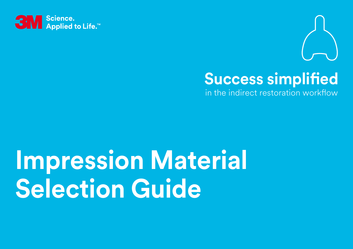



### **Success simplified**

 in the indirect restoration workflow

# **Impression Material Selection Guide**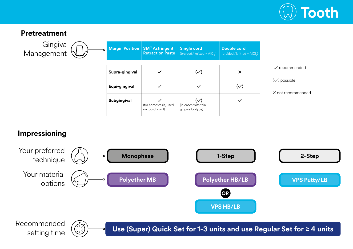

#### **Pretreatment**

**Gingiva** Management **Margin Position 3M™ Astringent Retraction Paste Single cord**  $(hraided/knitted + AICI<sub>3</sub>)$ **Double cord** (braided/knitted + AlCl<sub>3</sub>) **Supra-gingival ✓ (✓) ✕ Equi-gingival**  $\checkmark$   $\checkmark$   $\checkmark$   $\checkmark$   $\checkmark$   $\checkmark$ ) **Subgingival ✓** (for hemostasis, used on top of cord)  $(\vee)$ (in cases with thin gingiva biotype) **✓** ✓ recommended  $(\checkmark)$  possible ✕ not recommended

#### **Impressioning**



Recommended setting time

 $\bigodot$ 

**Use (Super) Quick Set for 1-3 units and use Regular Set for ≥ 4 units**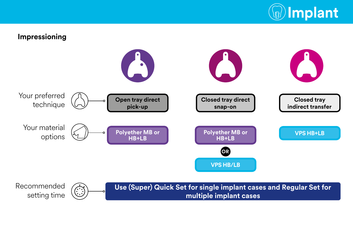

#### **Impressioning** Your preferred technique Your material options **Open tray direct pick-up Closed tray direct snap-on Closed tray indirect transfer OR [VPS HB+LB](#page-4-0) [VPS HB/LB](#page-4-0) [Polyether MB or](#page-3-0)  HB+LB [Polyether MB or](#page-3-0)  HB+LB**

Recommended **Use (Super) Quick Set for single implant cases and Regular Set for** برین<br>برنی setting time **multiple implant cases**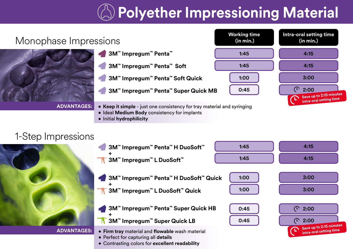## **Polyether Impressioning Material**

<span id="page-3-0"></span>